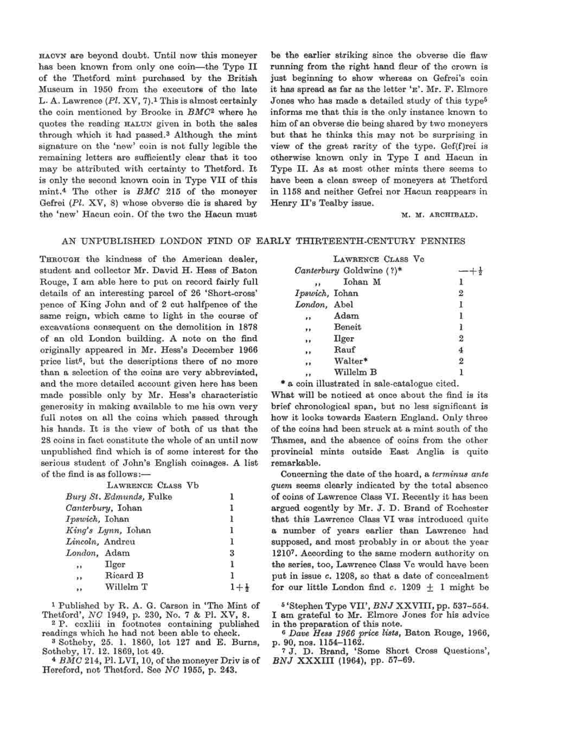HAOVN are beyond doubt. Until now this moneyer has been known from only one coin—the Type II of the Thetford mint purchased by the British Museum in 1950 from the executors of the late L. A. Lawrence  $(Pl, XV, 7)$ .<sup>1</sup> This is almost certainly the coin mentioned by Brooke in *BMC<sup>2</sup>* where he quotes the reading HALUN given in both the sales through which it had passed.<sup>3</sup> Although the mint signature on the 'new' coin is not fully legible the remaining letters are sufficiently clear that it too may be attributed with certainty to Thetford. It is only the second known coin in Type VII of this mint.<sup>4</sup> The other is *BMC* 215 of the moneyer Gefrei *(PI.* XV, 8) whose obverse die is shared by the 'new' Hacun coin. Of the two the Hacun must

be the earlier striking since the obverse die flaw running from the right hand fleur of the crown is just beginning to show whereas on Gefrei's coin it has spread as far as the letter 'E'. Mr. E. Elmore Jones who has made a detailed study of this type<sup>5</sup> informs me that this is the only instance known to him of an obverse die being shared by two moneyers but that he thinks this may not be surprising in view of the great rarity of the type. Gef(f)rei is otherwise known only in Type I and Hacun in Type II. As at most other mints there seems to have been a clean sweep of moneyers at Thetford in 1158 and neither Gefrei nor Hacun reappears in Henry II's Tealby issue.

M. M. ARCHIBALD.

## AN UNPUBLISHED LONDON EIND OF EARLY THIRTEENTH-CENTURY PENNIES

THROUGH the kindness of the American dealer, student and collector Mr. David H. Hess of Baton Rouge, I am able here to put on record fairly full details of an interesting parcel of 26 'Short-cross' pence of King John and of 2 cut halfpence of the same reign, which came to light in the course of excavations consequent on the demolition in 1878 of an old London building. A note on the find originally appeared in Mr. Hess's December 1966 price list<sup>6</sup>, but the descriptions there of no more than a selection of the coins are very abbreviated, and the more detailed account given here has been made possible only by Mr. Hess's characteristic generosity in making available to me his own very full notes on all the coins which passed through his hands. It is the view of both of us that the 28 coins in fact constitute the whole of an until now unpublished find which is of some interest for the serious student of John's English coinages. A list of the find is as follows:—

|                          | LAWRENCE CLASS Vb       |   |
|--------------------------|-------------------------|---|
|                          | Bury St. Edmunds, Fulke |   |
| Canterbury, Iohan        |                         | ı |
| Ipswich, Iohan           |                         |   |
| King's Lynn, Iohan       |                         |   |
| Lincoln, Andreu          |                         |   |
| London, Adam             |                         | 3 |
| $\bullet$ $\bullet$      | <b>Ilger</b>            |   |
| $\rightarrow$            | Ricard B                |   |
| $\overline{\phantom{a}}$ | Willelm T               |   |

1 Published by R. A. G. Carson in 'The Mint of Thetford', *NC* 1949, p. 230, No. 7 & PI. XV, 8. 2

<sup>2</sup> P. ccxliii in footnotes containing published readings which he had not been able to check.

Sotheby, 25. 1. 1860, lot 127 and E. Burns, Sotheby, 17. 12. 1869, lot 49. *<sup>4</sup>*

 *BMC* 214, PI. LVI, 10, of the moneyer Driv is of Hereford, not Thetford. See *NC* 1955, p. 243.

|                | LAWRENCE CLASS Vo        |   |
|----------------|--------------------------|---|
|                | Canterbury Goldwine (?)* |   |
|                | Iohan M                  |   |
| Ipswich, Iohan |                          | 2 |
| London, Abel   |                          |   |
| Υé.            | Adam                     |   |
| 21             | Beneit                   |   |
| ,,             | Ilger                    | 2 |
| $\bullet$      | Rauf                     |   |
|                | Walter*                  |   |
|                | Willelm B                |   |
|                |                          |   |

\* a coin illustrated in sale-catalogue cited.

What will be noticed at once about the find is its brief chronological span, but no less significant is how it looks towards Eastern England. Only three of the coins had been struck at a mint south of the Thames, and the absence of coins from the other provincial mints outside East Anglia is quite remarkable.

Concerning the date of the hoard, a *terminus ante quern* seems clearly indicated by the total absence of coins of Lawrence Class VI. Recently it has been argued cogently by Mr. J. D. Brand of Rochester that this Lawrence Class VI was introduced quite a number of years earlier than Lawrence had supposed, and most probably in or about the year 1210<sup>7</sup> . According to the same modern authority on the series, too, Lawrence Class Vc would have been put in issue c. 1208, so that a date of concealment for our little London find  $c$ . 1209  $\pm$  1 might be

5 'Stephen Type VH', *BNJ* XXVIII, pp. 537-554. I am grateful to Mr. Elmore Jones for his advice in the preparation of this note. *<sup>0</sup>*

 *Dave Hess 1966 price lists,* Baton Rouge, 1966, p. 90, nos. 1154-1162. 7

J. D. Brand, 'Some Short Cross Questions', *BNJ* XXXIII (1964), pp. 57-69.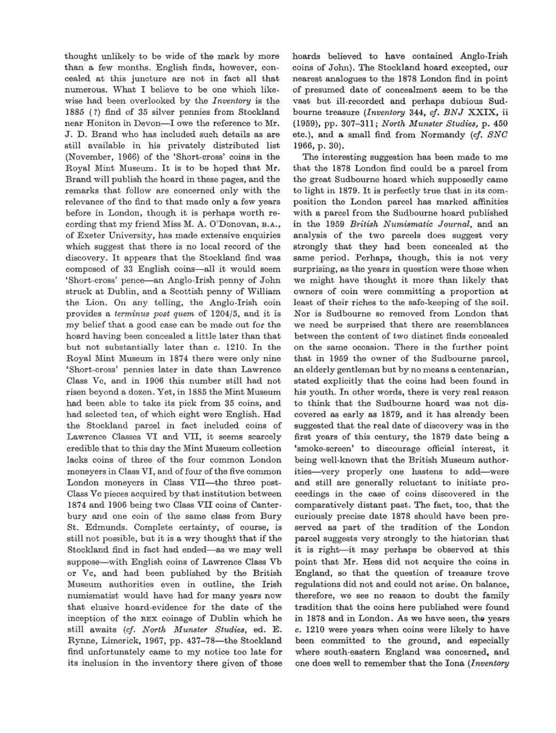thought unlikely to be wide of the mark by more than a few months. English finds, however, concealed at this juncture are not in fact all that numerous. What I believe to be one which likewise had been overlooked by the *Inventory* is the 1885 (?) find of 35 silver pennies from Stockland near Honiton in Devon—I owe the reference to Mr. J. D. Brand who has included such details as are still available in his privately distributed list (November, 1966) of the 'Short-cross' coins in the Royal Mint Museum. It is to be hoped that Mr. Brand will publish the hoard in these pages, and the remarks that follow are concerned only with the relevance of the find to that made only a few years before in London, though it is perhaps worth recording that my friend Miss M. A. O'Donovan, B.A., of Exeter University, has made extensive enquiries which suggest that there is no local record of the discovery. It appears that the Stockland find was composed of 33 English coins—all it would seem 'Short-cross' pence—an Anglo-Irish penny of John struck at Dublin, and a Scottish penny of William the Lion. On any telling, the Anglo-Irish coin provides a *terminus post quern* of 1204/5, and it is my belief that a good case can be made out for the hoard having been concealed a little later than that but not substantially later than c. 1210. In the Royal Mint Museum in 1874 there were only nine 'Short-cross' pennies later in date than Lawrence Class Vc, and in 1906 this number still had not risen beyond a dozen. Yet, in 1885 the Mint Museum had been able to take its pick from 35 coins, and had selected ten, of which eight were English. Had the Stockland parcel in fact included coins of Lawrence Classes VI and VII, it seems scarcely credible that to this day the Mint Museum collection lacks coins of three of the four common London moneyers in Class VI, and of four of the five common London moneyers in Class VII—the three post-Class Vc pieces acquired by that institution between 1874 and 1906 being two Class VII coins of Canterbury and one coin of the same class from Bury St. Edmunds. Complete certainty, of course, is still not possible, but it is a wry thought that if the Stockland find in fact had ended—as we may well suppose—with English coins of Lawrence Class Vb or Vc, and had been published by the British Museum authorities even in outline, the Irish numismatist would have had for many years now that elusive hoard-evidence for the date of the inception of the REX coinage of Dublin which he still awaits *(cf. North Munster Studies,* ed. E. Rynne, Limerick, 1967, pp. 437-78—the Stockland find unfortunately came to my notice too late for its inclusion in the inventory there given of those hoards believed to have contained Anglo-Irish coins of John). The Stockland hoard excepted, our nearest analogues to the 1878 London find in point of presumed date of concealment seem to be the vast but ill-recorded and perhaps dubious Sudbourne treasure *(Inventory* 344, *cf. BNJ* XXIX, ii (1959), pp. 307-311; *North Munster Studies,* p. 450 etc.), and a small find from Normandy *(cf. SNC*  1966, p. 30).

The interesting suggestion has been made to me that the 1878 London find could be a parcel from the great Sudbourne hoard which supposedly came to light in 1879. It is perfectly true that in its composition the London parcel has marked affinities with a parcel from the Sudbourne hoard published in the 1959 *British Numismatic Journal,* and an analysis of the two parcels does suggest very strongly that they had been concealed at the same period. Perhaps, though, this is not very surprising, as the years in question were those when we might have thought it more than likely that owners of coin were committing a proportion at least of their riches to the safe-keeping of the soil. Nor is Sudbourne so removed from London that we need be surprised that there are resemblances between the content of two distinct finds concealed on the same occasion. There is the further point that in 1959 the owner of the Sudbourne parcel, an elderly gentleman but by no means a centenarian, stated explicitly that the coins had been found in his youth. In other words, there is very real reason to think that the Sudbourne hoard was not discovered as early as 1879, and it has already been suggested that the real date of discovery was in the first years of this century, the 1879 date being a 'smoke-screen' to discourage official interest, it being well-known that the British Museum authorities—very properly one hastens to add—were and still are generally reluctant to initiate proceedings in the case of coins discovered in the comparatively distant past. The fact, too, that the curiously precise date 1878 should have been preserved as part of the tradition of the London parcel suggests very strongly to the historian that it is right—it may perhaps be observed at this point that Mr. Hess did not acquire the coins in England, so that the question of treasure trove regulations did not and could not arise. On balance, therefore, we see no reason to doubt the family tradition that the coins here published were found in 1878 and in London. As we have seen, the years c. 1210 were years when coins were likely to have been committed to the ground, and especially where south-eastern England was concerned, and one does well to remember that the Iona *(Inventory*